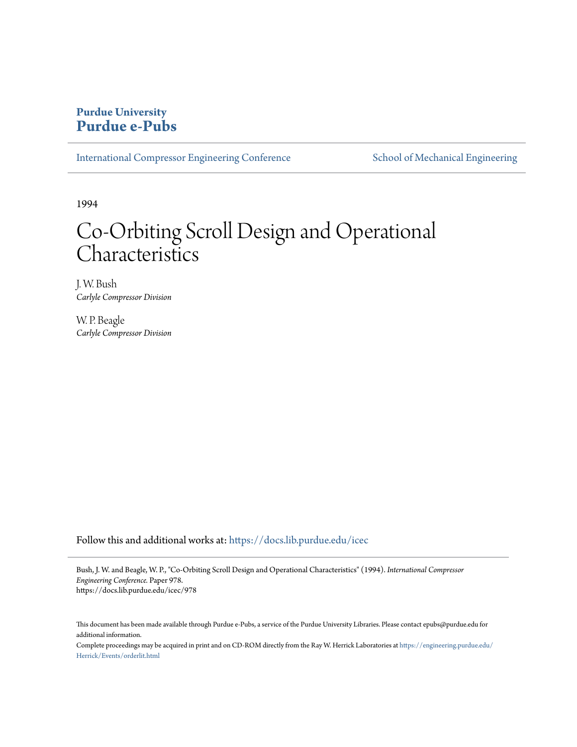## **Purdue University [Purdue e-Pubs](https://docs.lib.purdue.edu?utm_source=docs.lib.purdue.edu%2Ficec%2F978&utm_medium=PDF&utm_campaign=PDFCoverPages)**

[International Compressor Engineering Conference](https://docs.lib.purdue.edu/icec?utm_source=docs.lib.purdue.edu%2Ficec%2F978&utm_medium=PDF&utm_campaign=PDFCoverPages) [School of Mechanical Engineering](https://docs.lib.purdue.edu/me?utm_source=docs.lib.purdue.edu%2Ficec%2F978&utm_medium=PDF&utm_campaign=PDFCoverPages)

1994

# Co-Orbiting Scroll Design and Operational Characteristics

J. W. Bush *Carlyle Compressor Division*

W. P. Beagle *Carlyle Compressor Division*

Follow this and additional works at: [https://docs.lib.purdue.edu/icec](https://docs.lib.purdue.edu/icec?utm_source=docs.lib.purdue.edu%2Ficec%2F978&utm_medium=PDF&utm_campaign=PDFCoverPages)

Bush, J. W. and Beagle, W. P., "Co-Orbiting Scroll Design and Operational Characteristics" (1994). *International Compressor Engineering Conference.* Paper 978. https://docs.lib.purdue.edu/icec/978

This document has been made available through Purdue e-Pubs, a service of the Purdue University Libraries. Please contact epubs@purdue.edu for additional information.

Complete proceedings may be acquired in print and on CD-ROM directly from the Ray W. Herrick Laboratories at [https://engineering.purdue.edu/](https://engineering.purdue.edu/Herrick/Events/orderlit.html) [Herrick/Events/orderlit.html](https://engineering.purdue.edu/Herrick/Events/orderlit.html)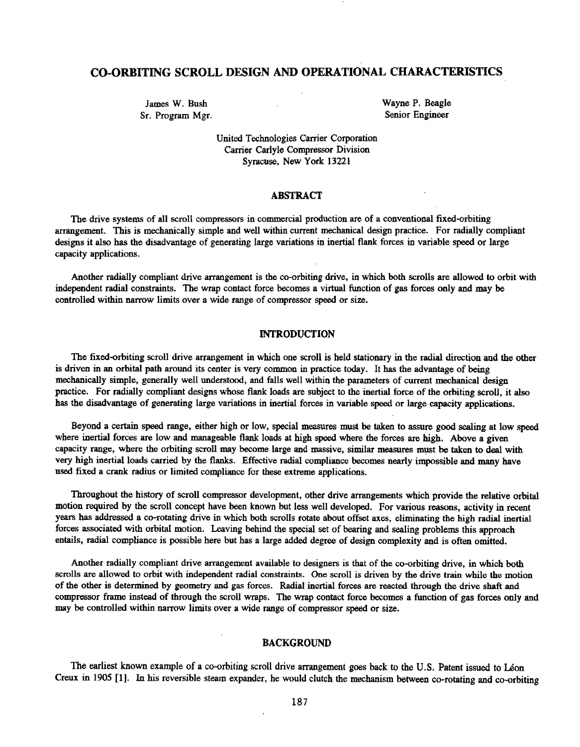### CO-ORBITING SCROLL DESIGN AND OPERATIONAL CHARACTERISTICS

James W. Bush Sr. Program Mgr. Wayne P. Beagle Senior Engineer

United Technologies Carrier Corporation Carrier Carlyle Compressor Division Syracuse, New York 13221

#### ABSTRACT

The drive systems of all scroll compressors in commercial production are of a conventional fixed-orbiting arrangement. This is mechanically simple and well within current mechanical design practice. For radially compliant designs it also has the disadvantage of generating large variations in inertial flank forces in variable speed or large capacity applications.

Another radially compliant drive arrangement is the co-orbiting drive, in which both scrolls are allowed to orbit with independent radial constraints. The wrap contact force becomes a virtual function of gas forces only and may be controlled within narrow limits over a wide range of compressor speed or size.

#### INTRODUCTION

The fixed-orbiting scroll drive arrangement in which one scroll is held stationary in the radial direction and the other is driven in an orbital path around its center is very common in practice today. It has the advantage of being mechanically simple, generally well understood, and falls well within the parameters of current mechanical design practice. For radially compliant designs whose flank loads are subject to the inertial force of the orbiting scroll, it also has the disadvantage of generating large variations in inertial forces in variable speed or large capacity applications.

Beyond a certain speed range, either high or low, special measures must be taken to assure good sealing at low speed where inertial forees are low and manageable flank loads at high speed where the forces are high. Above a given capacity range, where the orbiting scroll may become large and massive, similar measures must be taken to deal with very high inertial loads carried by the flanks. Effective radial compliance becomes nearly impossible and many have used fixed a crank radius or limited compliance for these extreme applications.

Throughout the history of scroll compressor development, other drive arrangements which provide the relative orbital motion required by the scroll concept have been known hut less well developed. For various reasons, activity in recent years has addressed a co·rotating drive in which both scrolls rotate about offset axes, eliminating the high radial inertial forces associated with orbital motion. Leaving behind the special set of bearing and sealing problems this approach entails, radial compliance is possible here but has a large added degree of design complexity and is often omitted.

Another radially compliant drive arrangement available to designers is that of the co-orbiting drive, in which both scrolls are allowed to orbit with independent radial constraints. One scroll is driven by the drive train while the motion of the other is determined by geometry and gas forces. Radial inertial forces are reacted through the drive shaft and compressor frame instead of through the scroll wraps. The wrap contact force becomes a function of gas forces only and may be controlled within narrow limits over a wide range of compressor speed or size.

#### BACKGROUND

The earliest known example of a co-orbiting scroll drive arrangement goes back to the U.S. Patent issued to Léon Creux in 1905 [1]. In his reversible steam expander, he would clutch the mechanism between co-rotating and co~rbiting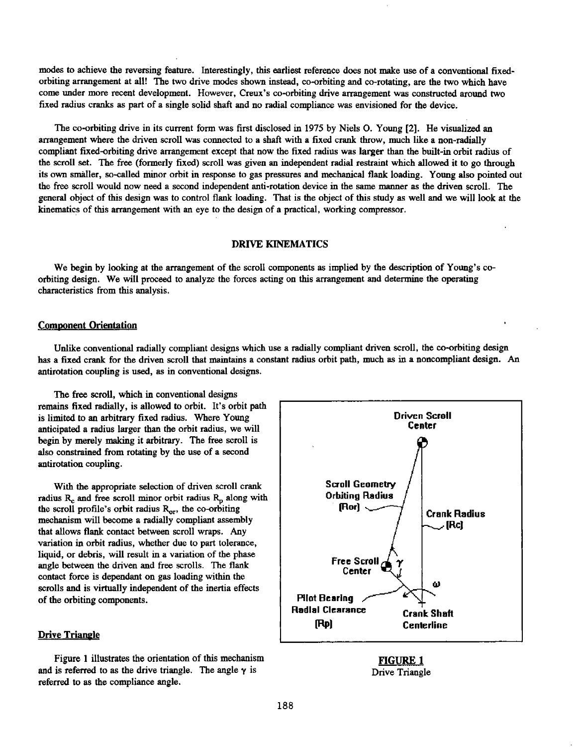modes to achieve the reversing feature. Interestingly, this earliest reference does not make use of a conventional fixed· orbiting arrangement at all! The two drive modes shown instead, co-orbiting and co-rotating, are the two which have come under more recent development. However, Creux's co-orbiting drive arrangement was constructed around two fixed radius cranks as part of a single solid shaft and no radial compliance was envisioned for the device.

The co-orbiting drive in its current form was first disclosed in 1975 by Niels O. Young [2]. He visualized an arrangement where the driven scroll was connected to a shaft with a fixed crank throw, much like a non-radially compliant fixed-orbiting drive arrangement except that now the fixed radius was larger than the built-in orbit radius of the scroll set. The free (formerly fixed) scroll was given an independent radial restraint which allowed it to go through its own smaller, so~alled minor orbit in response to gas pressures and mechanical flank loading. Young also pointed out the free scroll would now need a second independent anti-rotation device in the same manner as the driven scroll. The general object of this design was to control flank loading. That is the object of this study as well and we will look at the kinematics of this arrangement with an eye to the design of a practical, working compressor.

#### DRIVE KINEMATICS

We begin by looking at the arrangement of the scroll components as implied by the description of Young's coorbiting design. We will proceed to analyze the forces acting on this arrangement and determine the operating characteristics from this analysis.

#### Comoonent Orientation

Unlike conventional radially compliant designs which use a radially compliant driven scroll, the co-orbiting design has a fixed crank for the driven scroll that maintains a constant radius orbit path, much as in a noncompliant design. An antirotation coupling is used, as in conventional designs.

The free scroll, which in conventional designs remains fixed radially, is allowed to orbit. It's orbit path is limited to an arbitrary fixed radius. Where Young anticipated a radius larger than the orbit radius, we will begin by merely making it arbitrary. The free scroll is also constrained from rotating by the use of a second antirotation coupling.

With the appropriate selection of driven scroll crank radius  $R_c$  and free scroll minor orbit radius  $R_p$  along with the scroll profile's orbit radius  $R_{\text{or}}$ , the co-orbiting mechanism will become a radially compliant assembly that allows flank contact between scroll wraps. Any variation in orbit radius, whether due to part tolerance, liquid, or debris, will result in a variation of the phase angle between the driven and free scrolls. The flank contact force is dependant on gas loading within the scrolls and is virtually independent of the inertia effects of the orbiting components.

#### Drive Triangle

Figure 1 illustrates the orientation of this mechanism and is referred to as the drive triangle. The angle  $\gamma$  is referred to as the compliance angle.



FIGURE 1 Drive Triangle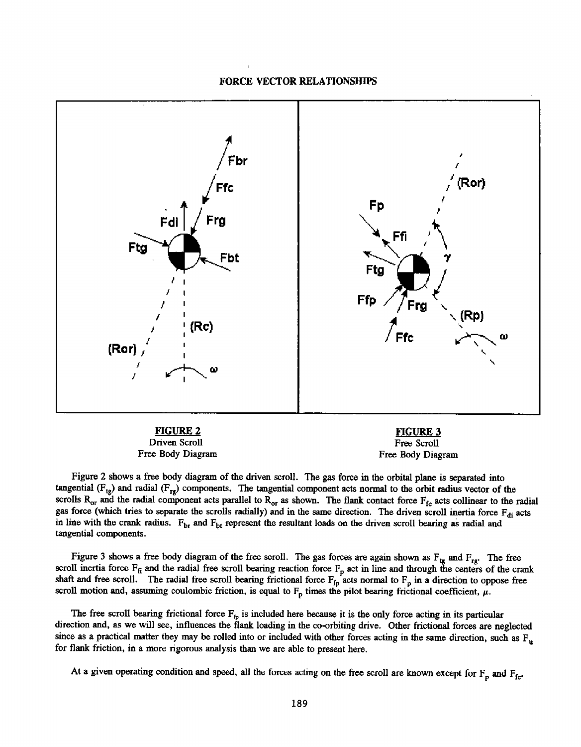#### FORCE VECTOR RELATIONSHIPS



Driven Scroll Free Body Diagram

Free Scroll Free Body Diagram

Figure 2 shows a free body diagram of the driven scroll. The gas force in the orbital plane is separated into tangential  $(F_{tg})$  and radial  $(F_{rg})$  components. The tangential component acts normal to the orbit radius vector of the scrolls  $R_{or}$  and the radial component acts parallel to  $R_{or}$  as shown. The flank contact force  $F_{fc}$  acts collinear to the radial gas force (which tries to separate the scrolls radially) and in the same direction. The driven scroll inertia force  $F_{di}$  acts in line with the crank radius.  $F_{\text{br}}$  and  $F_{\text{bt}}$  represent the resultant loads on the driven scroll bearing as radial and tangential components.

Figure 3 shows a free body diagram of the free scroll. The gas forces are again shown as  $F_{tg}$  and  $F_{rg}$ . The free scroll inertia force  $F_f$  and the radial free scroll bearing reaction force  $F_p$  act in line and through the centers of the crank shaft and free scroll. The radial free scroll bearing frictional force  $F_{fp}$  acts normal to  $F_p$  in a direction to oppose free scroll motion and, assuming coulombic friction, is equal to  $F_p$  times the pilot bearing frictional coefficient,  $\mu$ .

The free scroll bearing frictional force  $F_p$  is included here because it is the only force acting in its particular direction and, as we will see, influences the flank loading in the co-orbiting drive. Other frictional forces are neglected since as a practical matter they may be rolled into or included with other forces acting in the same direction, such as  $F_{11}$ for flank friction, in a more rigorous analysis than we are able to present here.

At a given operating condition and speed, all the forces acting on the free scroll are known except for  $F_p$  and  $F_{fc}$ .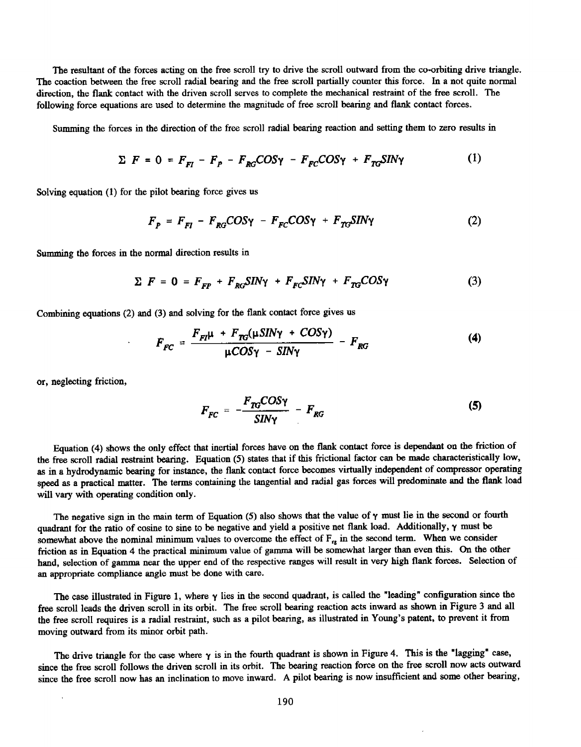The resultant of the forces acting on the free scroll try to drive the scroll outward from the co-orbiting drive triangle. The coaction between the free scroll radial bearing and the free scroll partially counter this force. In a not quite normal direction, the flank contact with the driven scroll serves to complete the mechanical restraint of the free scroll. The following force equations are used to determine the magnitude of free scroll bearing and flank contact forces.

Summing the forces in the direction of the free scroll radial bearing reaction and setting them to zero results in

$$
\Sigma \ F = 0 = F_{FI} - F_p - F_{RG}COS\gamma - F_{FC}COS\gamma + F_{TG}SIN\gamma \tag{1}
$$

Solving equation (1) for the pilot bearing force gives us

$$
F_P = F_{FI} - F_{RG} COS\gamma - F_{FC} COS\gamma + F_{TG} SIN\gamma \tag{2}
$$

Summing the forces in the normal direction results in

$$
\Sigma \ F = 0 = F_{FP} + F_{RG} S I N \gamma + F_{FC} S I N \gamma + F_{TG} COS \gamma \tag{3}
$$

Combining equations (2) and (3) and solving for the flank contact force gives us

$$
F_{FC} = \frac{F_{FI}\mu + F_{TG}(\mu S I N \gamma + COS \gamma)}{\mu COS \gamma - SIN \gamma} - F_{RG}
$$
 (4)

or, neglecting friction,

$$
F_{FC} = -\frac{F_{TG}COS\gamma}{SIN\gamma} - F_{RG}
$$
 (5)

Equation (4) shows the only effect that inertial forces have on the flank contact force is dependant on the friction of the free scroll radial restraint bearing. Equation (5) states that if this frictional factor can be made characteristically low, as in a hydrodynamic bearing for instance, the flank contact force becomes virtually independent of compressor operating speed as a practical matter. The terms containing the tangential and radial gas forces will predominate and the flank load will vary with operating condition only.

The negative sign in the main term of Equation (5) also shows that the value of  $\gamma$  must lie in the second or fourth quadrant for the ratio of cosine to sine to be negative and yield a positive net flank load. Additionally, y must be somewhat above the nominal minimum values to overcome the effect of  $F_{\text{rx}}$  in the second term. When we consider friction as in Equation 4 the practical minimum value of gamma will be somewhat larger than even this. On the other hand, selection of gamma near the upper end of the respective ranges will result in very high flank forces. Selection of an appropriate compliance angle must be done with care.

The case illustrated in Figure 1, where  $\gamma$  lies in the second quadrant, is called the "leading" configuration since the free scroll leads the driven scroll in its orbit. The free scroll bearing reaction acts inward as shown in Figure 3 and all the free scroll requires is a radial restraint, such as a pilot bearing, as illustrated in Young's patent, to prevent it from moving outward from its minor orbit path.

The drive triangle for the case where  $\gamma$  is in the fourth quadrant is shown in Figure 4. This is the "lagging" case, since the free scroll follows the driven scroll in its orbit. The bearing reaction force on the free scroll now acts outward since the free scroll now has an inclination to move inward. A pilot bearing is now insufficient and some other bearing,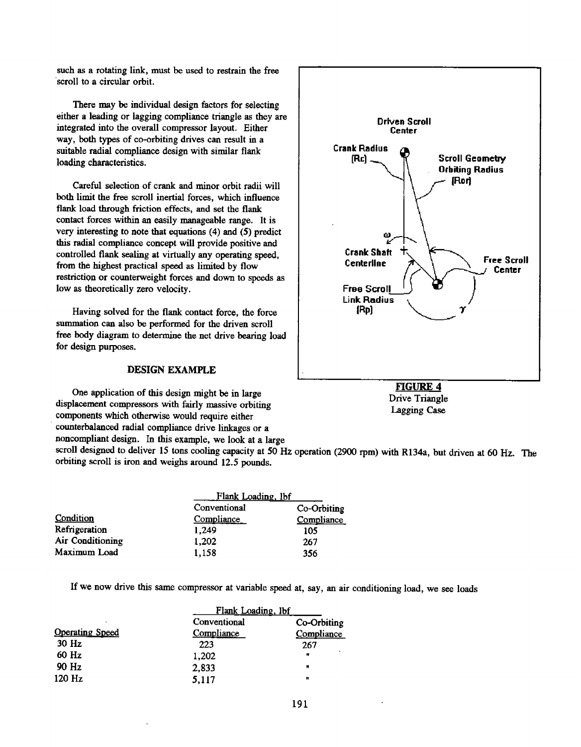such as a rotating link, must be used to restrain the free ·scroll to a circular orbit.

There may be individual design factors for selecting either a leading or lagging compliance triangle as they are integrated into the overall compressor layout. Either way, both types of co-orbiting drives can result in a suitable radial compliance design with similar flank loading characteristics.

both limit the free scroll inertial forces, which influence flank load through friction effects, and set the flank contact forces within an easily manageable range. It is very interesting to note that equations (4) and (5) predict this radial compliance concept will provide positive and controlled flank sealing at virtually any operating speed, from the highest practical speed as limited by flow restriction or counterweight forces and down to speeds as low as theoretically zero velocity.

Having solved for the flank contact force, the force summation can also be performed for the driven scroll free body diagram to determine the net drive bearing load for design purposes.

#### DESIGN EXAMPLE

One application of this design might be in large displacement compressors with fairly massive orbiting components which otherwise would require either counterbalanced radial compliance drive linkages or <sup>a</sup> noncompliant design. In this example, we look at a large



Drive Triangle Lagging Case

scroll designed to deliver 15 tons cooling capacity at 50 Hz operation (2900 rpm) with R134a, but driven at 60 Hz. The orbiting scroll is iron and weighs around 12.5 pounds.

|                  | Flank Loading, lbf |             |
|------------------|--------------------|-------------|
|                  | Conventional       | Co-Orbiting |
| Condition        | Compliance         | Compliance  |
| Refrigeration    | 1.249              | 105         |
| Air Conditioning | 1,202              | 267         |
| Maximum Load     | 1,158              | 356         |

If we now drive this same compressor at variable speed at, say, an air conditioning load, we see loads

|                        | Flank Loading, lbf |                |
|------------------------|--------------------|----------------|
|                        | Conventional       | Co-Orbiting    |
| <b>Operating Speed</b> | Compliance         | Compliance     |
| $30$ Hz                | 223                | 267            |
| 60 Hz                  | 1,202              | $\blacksquare$ |
| 90 Hz                  | 2,833              | п              |
| 120 Hz                 | 5,117              | Ħ              |